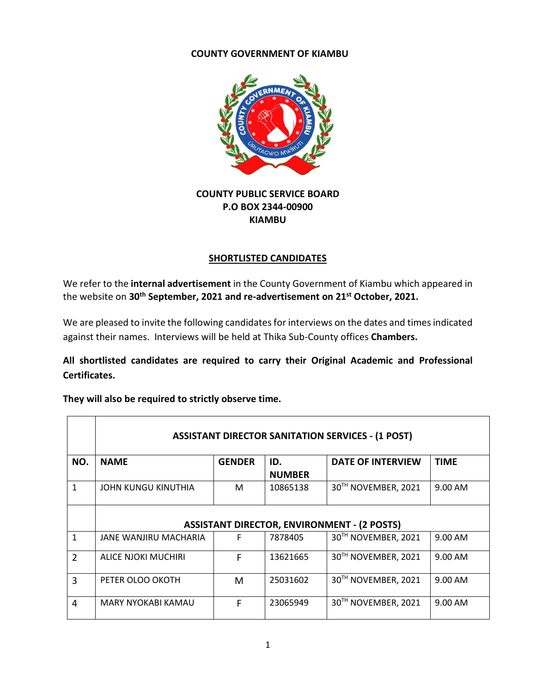#### **COUNTY GOVERNMENT OF KIAMBU**



# **COUNTY PUBLIC SERVICE BOARD P.O BOX 2344-00900 KIAMBU**

## **SHORTLISTED CANDIDATES**

We refer to the **internal advertisement** in the County Government of Kiambu which appeared in the website on **30th September, 2021 and re-advertisement on 21st October, 2021.**

We are pleased to invite the following candidates for interviews on the dates and times indicated against their names. Interviews will be held at Thika Sub-County offices **Chambers.** 

**All shortlisted candidates are required to carry their Original Academic and Professional Certificates.** 

**They will also be required to strictly observe time.** 

 $\blacksquare$ 

|                | <b>ASSISTANT DIRECTOR SANITATION SERVICES - (1 POST)</b> |               |                      |                                 |             |  |  |  |
|----------------|----------------------------------------------------------|---------------|----------------------|---------------------------------|-------------|--|--|--|
| NO.            | <b>NAME</b>                                              | <b>GENDER</b> | ID.<br><b>NUMBER</b> | <b>DATE OF INTERVIEW</b>        | <b>TIME</b> |  |  |  |
| 1              | JOHN KUNGU KINUTHIA                                      | м             | 10865138             | 30TH NOVEMBER, 2021             | 9.00 AM     |  |  |  |
|                | <b>ASSISTANT DIRECTOR, ENVIRONMENT - (2 POSTS)</b>       |               |                      |                                 |             |  |  |  |
| 1              | JANE WANJIRU MACHARIA                                    | F             | 7878405              | 30TH NOVEMBER, 2021             | 9.00 AM     |  |  |  |
| $\overline{2}$ | ALICE NJOKI MUCHIRI                                      | F             | 13621665             | 30TH NOVEMBER, 2021             | 9.00 AM     |  |  |  |
| 3              | PETER OLOO OKOTH                                         | M             | 25031602             | 30TH NOVEMBER, 2021             | 9.00 AM     |  |  |  |
| 4              | MARY NYOKABI KAMAU                                       | F             | 23065949             | 30 <sup>TH</sup> NOVEMBER, 2021 | 9.00 AM     |  |  |  |